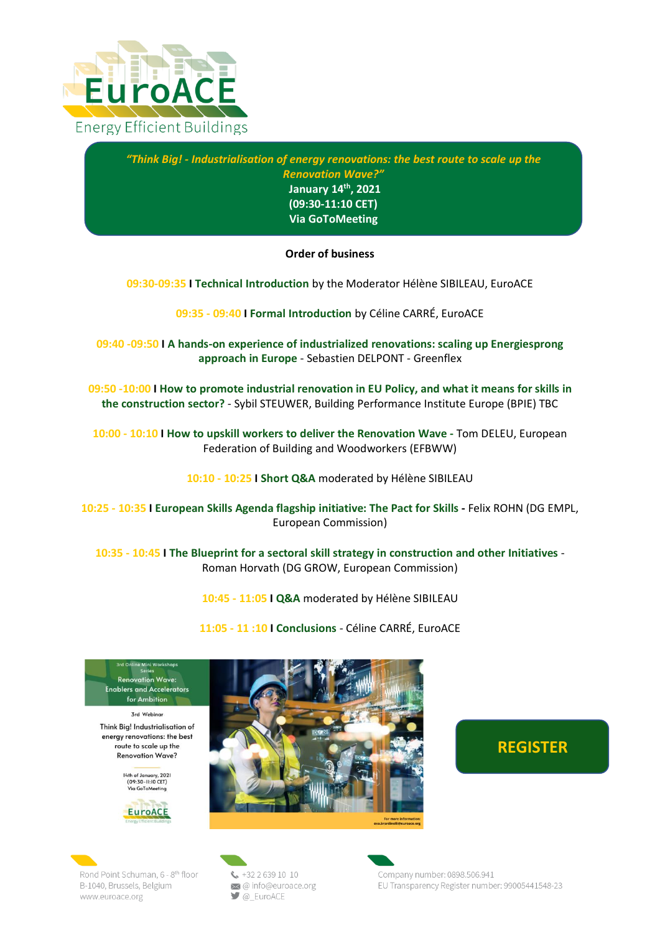

*"Think Big! - Industrialisation of energy renovations: the best route to scale up the Renovation Wave?"* **January 14th , 2021 (09:30-11:10 CET) Via GoToMeeting**

## **Order of business**

**09:30-09:35 I Technical Introduction** by the Moderator Hélène SIBILEAU, EuroACE

**09:35 - 09:40 I Formal Introduction** by Céline CARRÉ, EuroACE

**09:40 -09:50 I A hands-on experience of industrialized renovations: scaling up Energiesprong approach in Europe** - Sebastien DELPONT - Greenflex

**09:50 -10:00 I How to promote industrial renovation in EU Policy, and what it means for skills in the construction sector?** - Sybil STEUWER, Building Performance Institute Europe (BPIE) TBC

**10:00 - 10:10 I How to upskill workers to deliver the Renovation Wave -** Tom DELEU, European Federation of Building and Woodworkers (EFBWW)

**10:10 - 10:25 I Short Q&A** moderated by Hélène SIBILEAU

**10:25 - 10:35 I European Skills Agenda flagship initiative: The Pact for Skills -** Felix ROHN (DG EMPL, European Commission)

**10:35 - 10:45 I The Blueprint for a sectoral skill strategy in construction and other Initiatives** - Roman Horvath (DG GROW, European Commission)

**10:45 - 11:05 I Q&A** moderated by Hélène SIBILEAU

**11:05 - 11 :10 I Conclusions** - Céline CARRÉ, EuroACE

**Renovation Wave: Enablers and Accelerators** for Ambition

**Zrd Webings** Think Big! Industrialisation of energy renovations: the best route to scale up the **Renovation Wave?** 

> 14th of January, 2021<br>(09:30-11:10 CET) **Go ToMonting**





## **[REGISTER](https://www.eventbrite.co.uk/e/think-big-industrialisation-of-energy-renovation-best-way-to-scale-up-rw-tickets-132553648531)**

Rond Point Schuman, 6 - 8th floor B-1040, Brussels, Belgium www.euroace.org

 $\frac{1}{2}$  +32 2 639 10 10 @info@euroace.org  $\Box$  @ EuroACE

Company number: 0898.506.941 EU Transparency Register number: 99005441548-23